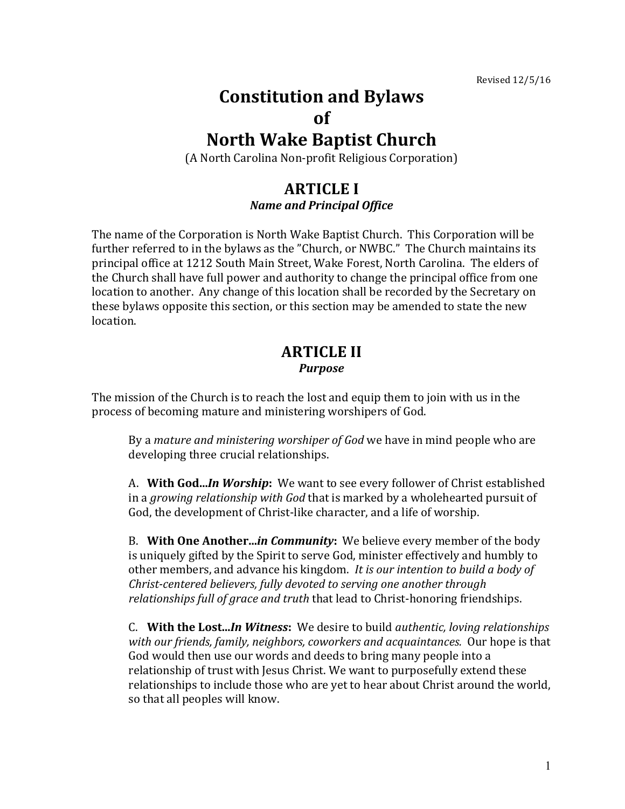# **Constitution and Bylaws of**

# **North Wake Baptist Church**

(A North Carolina Non-profit Religious Corporation)

## **ARTICLE I** *Name and Principal Office*

The name of the Corporation is North Wake Baptist Church. This Corporation will be further referred to in the bylaws as the "Church, or NWBC." The Church maintains its principal office at 1212 South Main Street, Wake Forest, North Carolina. The elders of the Church shall have full power and authority to change the principal office from one location to another. Any change of this location shall be recorded by the Secretary on these bylaws opposite this section, or this section may be amended to state the new location.

## **ARTICLE II** *Purpose*

The mission of the Church is to reach the lost and equip them to join with us in the process of becoming mature and ministering worshipers of God.

By a *mature and ministering worshiper of God* we have in mind people who are developing three crucial relationships.

A. With God...*In Worship*: We want to see every follower of Christ established in a *growing relationship with God* that is marked by a wholehearted pursuit of God, the development of Christ-like character, and a life of worship.

B. **With One Another...***in Community*: We believe every member of the body is uniquely gifted by the Spirit to serve God, minister effectively and humbly to other members, and advance his kingdom. It is our intention to build a body of *Christ-centered believers, fully devoted to serving one another through relationships* full of grace and truth that lead to Christ-honoring friendships.

C. With the Lost...*In Witness*: We desire to build *authentic, loving relationships* with our friends, family, neighbors, coworkers and acquaintances. Our hope is that God would then use our words and deeds to bring many people into a relationship of trust with Jesus Christ. We want to purposefully extend these relationships to include those who are yet to hear about Christ around the world, so that all peoples will know.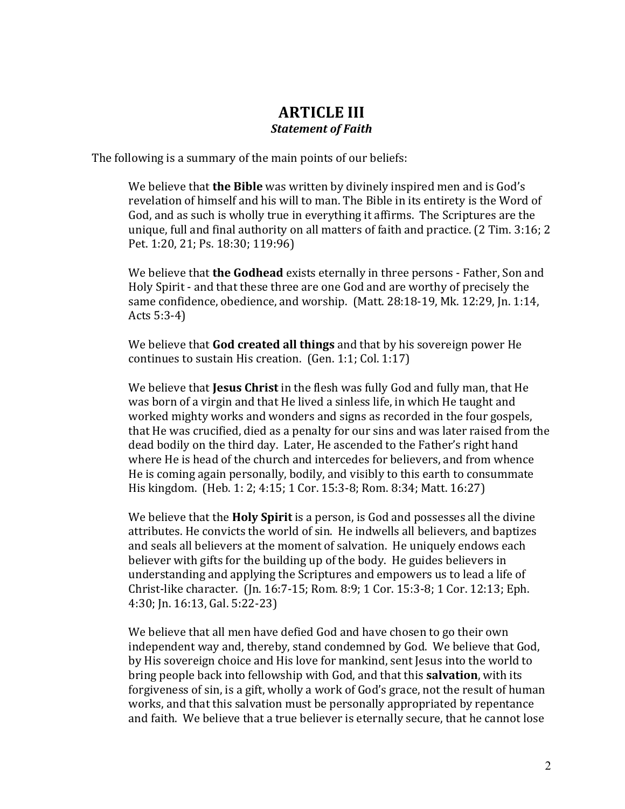# **ARTICLE III** *Statement of Faith*

The following is a summary of the main points of our beliefs:

We believe that **the Bible** was written by divinely inspired men and is God's revelation of himself and his will to man. The Bible in its entirety is the Word of God, and as such is wholly true in everything it affirms. The Scriptures are the unique, full and final authority on all matters of faith and practice.  $(2$  Tim.  $3:16; 2$ Pet. 1:20, 21; Ps. 18:30; 119:96)

We believe that **the Godhead** exists eternally in three persons - Father, Son and Holy Spirit - and that these three are one God and are worthy of precisely the same confidence, obedience, and worship. (Matt. 28:18-19, Mk. 12:29, Jn. 1:14, Acts  $5:3-4$ )

We believe that **God created all things** and that by his sovereign power He continues to sustain His creation.  $(Gen. 1:1; Col. 1:17)$ 

We believe that **Jesus Christ** in the flesh was fully God and fully man, that He was born of a virgin and that He lived a sinless life, in which He taught and worked mighty works and wonders and signs as recorded in the four gospels, that He was crucified, died as a penalty for our sins and was later raised from the dead bodily on the third day. Later, He ascended to the Father's right hand where He is head of the church and intercedes for believers, and from whence He is coming again personally, bodily, and visibly to this earth to consummate His kingdom. (Heb. 1: 2; 4:15; 1 Cor. 15:3-8; Rom. 8:34; Matt. 16:27)

We believe that the **Holy Spirit** is a person, is God and possesses all the divine attributes. He convicts the world of sin. He indwells all believers, and baptizes and seals all believers at the moment of salvation. He uniquely endows each believer with gifts for the building up of the body. He guides believers in understanding and applying the Scriptures and empowers us to lead a life of Christ-like character. (Jn. 16:7-15; Rom. 8:9; 1 Cor. 15:3-8; 1 Cor. 12:13; Eph. 4:30; In. 16:13, Gal. 5:22-23)

We believe that all men have defied God and have chosen to go their own independent way and, thereby, stand condemned by God. We believe that God, by His sovereign choice and His love for mankind, sent Jesus into the world to bring people back into fellowship with God, and that this **salvation**, with its forgiveness of sin, is a gift, wholly a work of God's grace, not the result of human works, and that this salvation must be personally appropriated by repentance and faith. We believe that a true believer is eternally secure, that he cannot lose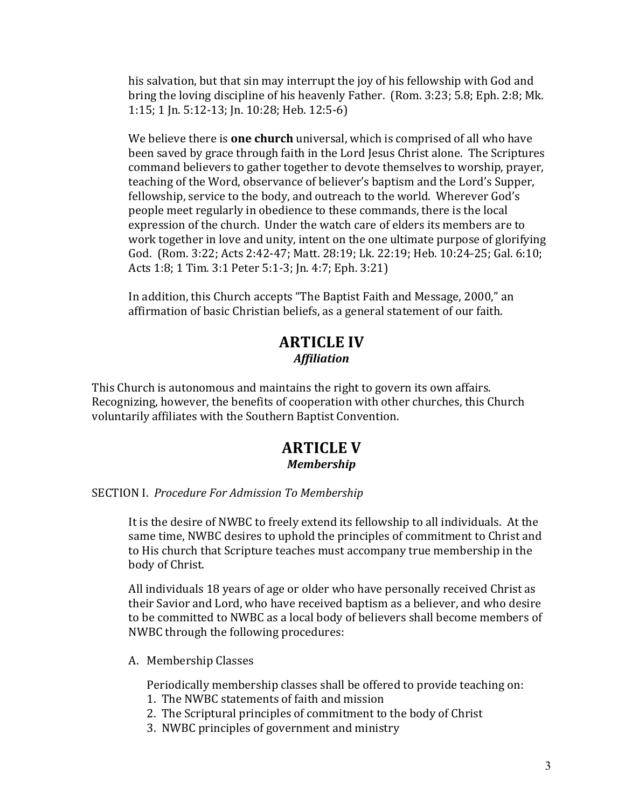his salvation, but that sin may interrupt the joy of his fellowship with God and bring the loving discipline of his heavenly Father. (Rom.  $3:23$ ; 5.8; Eph. 2:8; Mk. 1:15; 1 Jn. 5:12-13; Jn. 10:28; Heb. 12:5-6)

We believe there is **one church** universal, which is comprised of all who have been saved by grace through faith in the Lord Jesus Christ alone. The Scriptures command believers to gather together to devote themselves to worship, prayer, teaching of the Word, observance of believer's baptism and the Lord's Supper, fellowship, service to the body, and outreach to the world. Wherever God's people meet regularly in obedience to these commands, there is the local expression of the church. Under the watch care of elders its members are to work together in love and unity, intent on the one ultimate purpose of glorifying God. (Rom. 3:22; Acts 2:42-47; Matt. 28:19; Lk. 22:19; Heb. 10:24-25; Gal. 6:10; Acts 1:8; 1 Tim. 3:1 Peter 5:1-3; Jn. 4:7; Eph. 3:21)

In addition, this Church accepts "The Baptist Faith and Message, 2000," an affirmation of basic Christian beliefs, as a general statement of our faith.

# **ARTICLE IV** *Affiliation*

This Church is autonomous and maintains the right to govern its own affairs. Recognizing, however, the benefits of cooperation with other churches, this Church voluntarily affiliates with the Southern Baptist Convention.

### **ARTICLE V** *Membership*

#### SECTION I. *Procedure For Admission To Membership*

It is the desire of NWBC to freely extend its fellowship to all individuals. At the same time, NWBC desires to uphold the principles of commitment to Christ and to His church that Scripture teaches must accompany true membership in the body of Christ.

All individuals 18 years of age or older who have personally received Christ as their Savior and Lord, who have received baptism as a believer, and who desire to be committed to NWBC as a local body of believers shall become members of NWBC through the following procedures:

A. Membership Classes

Periodically membership classes shall be offered to provide teaching on:

- 1. The NWBC statements of faith and mission
- 2. The Scriptural principles of commitment to the body of Christ
- 3. NWBC principles of government and ministry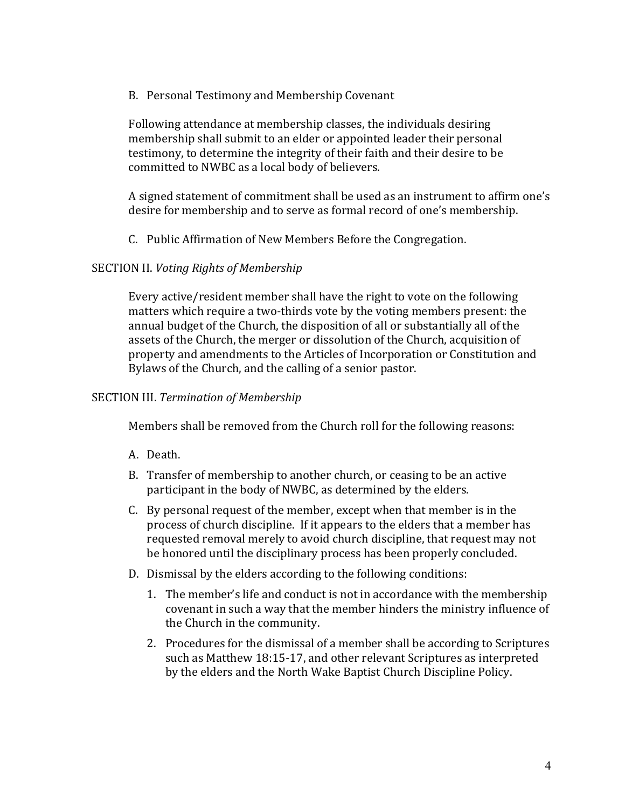B. Personal Testimony and Membership Covenant

Following attendance at membership classes, the individuals desiring membership shall submit to an elder or appointed leader their personal testimony, to determine the integrity of their faith and their desire to be committed to NWBC as a local body of believers.

A signed statement of commitment shall be used as an instrument to affirm one's desire for membership and to serve as formal record of one's membership.

C. Public Affirmation of New Members Before the Congregation.

#### SECTION II. *Voting Rights of Membership*

Every active/resident member shall have the right to vote on the following matters which require a two-thirds vote by the voting members present: the annual budget of the Church, the disposition of all or substantially all of the assets of the Church, the merger or dissolution of the Church, acquisition of property and amendments to the Articles of Incorporation or Constitution and Bylaws of the Church, and the calling of a senior pastor.

#### SECTION III. Termination of Membership

Members shall be removed from the Church roll for the following reasons:

- A. Death.
- B. Transfer of membership to another church, or ceasing to be an active participant in the body of NWBC, as determined by the elders.
- C. By personal request of the member, except when that member is in the process of church discipline. If it appears to the elders that a member has requested removal merely to avoid church discipline, that request may not be honored until the disciplinary process has been properly concluded.
- D. Dismissal by the elders according to the following conditions:
	- 1. The member's life and conduct is not in accordance with the membership covenant in such a way that the member hinders the ministry influence of the Church in the community.
	- 2. Procedures for the dismissal of a member shall be according to Scriptures such as Matthew 18:15-17, and other relevant Scriptures as interpreted by the elders and the North Wake Baptist Church Discipline Policy.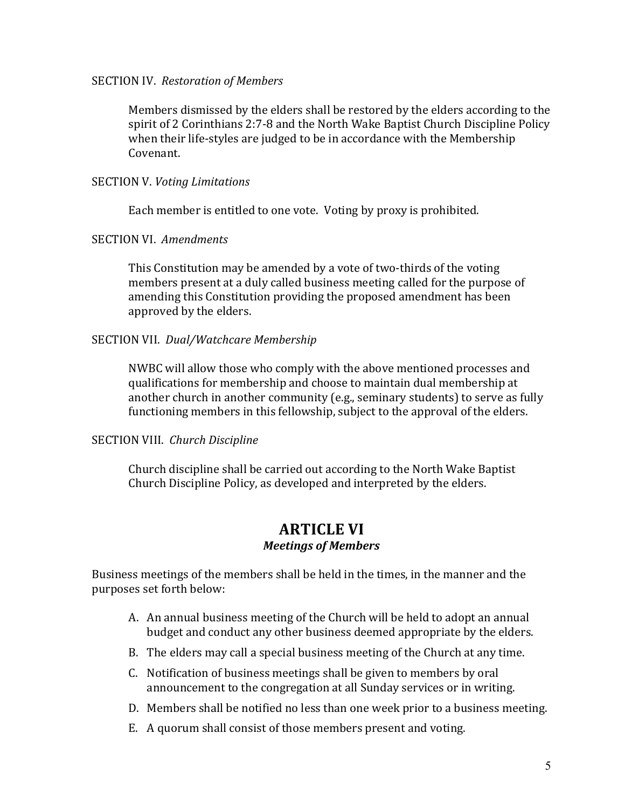#### **SECTION IV.** Restoration of Members

Members dismissed by the elders shall be restored by the elders according to the spirit of 2 Corinthians 2:7-8 and the North Wake Baptist Church Discipline Policy when their life-styles are judged to be in accordance with the Membership Covenant.

#### SECTION V. *Voting Limitations*

Each member is entitled to one vote. Voting by proxy is prohibited.

#### **SECTION VI. Amendments**

This Constitution may be amended by a vote of two-thirds of the voting members present at a duly called business meeting called for the purpose of amending this Constitution providing the proposed amendment has been approved by the elders.

#### SECTION VII. Dual/Watchcare Membership

NWBC will allow those who comply with the above mentioned processes and qualifications for membership and choose to maintain dual membership at another church in another community (e.g., seminary students) to serve as fully functioning members in this fellowship, subject to the approval of the elders.

#### SECTION VIII. Church Discipline

Church discipline shall be carried out according to the North Wake Baptist Church Discipline Policy, as developed and interpreted by the elders.

### **ARTICLE VI** *Meetings of Members*

Business meetings of the members shall be held in the times, in the manner and the purposes set forth below:

- A. An annual business meeting of the Church will be held to adopt an annual budget and conduct any other business deemed appropriate by the elders.
- B. The elders may call a special business meeting of the Church at any time.
- C. Notification of business meetings shall be given to members by oral announcement to the congregation at all Sunday services or in writing.
- D. Members shall be notified no less than one week prior to a business meeting.
- E. A quorum shall consist of those members present and voting.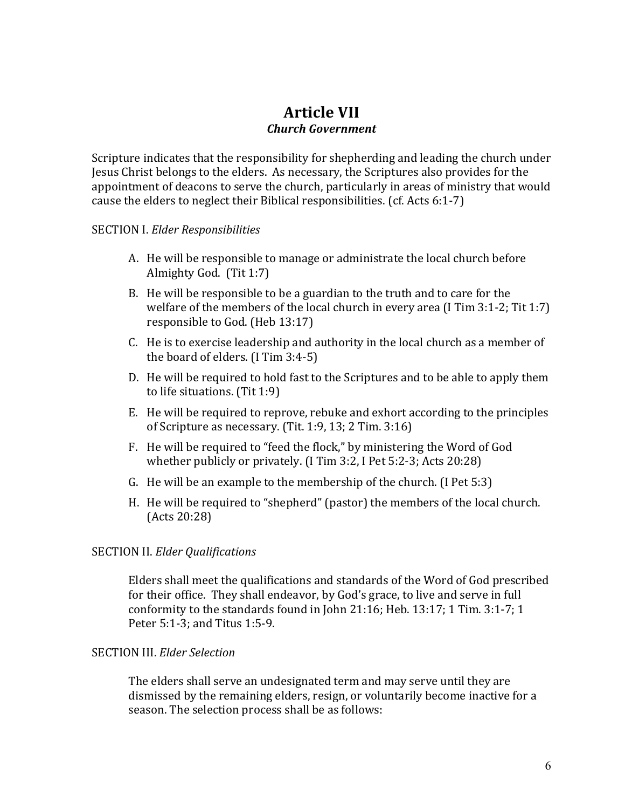# **Article VII** *Church Government*

Scripture indicates that the responsibility for shepherding and leading the church under Jesus Christ belongs to the elders. As necessary, the Scriptures also provides for the appointment of deacons to serve the church, particularly in areas of ministry that would cause the elders to neglect their Biblical responsibilities.  $(ct.$  Acts  $6:1-7$ )

#### SECTION I. *Elder Responsibilities*

- A. He will be responsible to manage or administrate the local church before Almighty God.  $(Tit 1:7)$
- B. He will be responsible to be a guardian to the truth and to care for the welfare of the members of the local church in every area  $(1 \text{ Tim } 3:1-2; \text{Tit } 1:7)$ responsible to God. (Heb 13:17)
- C. He is to exercise leadership and authority in the local church as a member of the board of elders.  $(I Tim 3:4-5)$
- D. He will be required to hold fast to the Scriptures and to be able to apply them to life situations. (Tit  $1:9$ )
- E. He will be required to reprove, rebuke and exhort according to the principles of Scripture as necessary. (Tit. 1:9, 13; 2 Tim.  $3:16$ )
- F. He will be required to "feed the flock," by ministering the Word of God whether publicly or privately.  $(1 \text{ Tim } 3:2, 1 \text{ Pet } 5:2-3; \text{Acts } 20:28)$
- G. He will be an example to the membership of the church.  $(I$  Pet  $5:3$ )
- H. He will be required to "shepherd" (pastor) the members of the local church. (Acts 20:28)

#### SECTION II. *Elder Qualifications*

Elders shall meet the qualifications and standards of the Word of God prescribed for their office. They shall endeavor, by God's grace, to live and serve in full conformity to the standards found in John 21:16; Heb.  $13:17$ ; 1 Tim.  $3:1-7$ ; 1 Peter 5:1-3; and Titus 1:5-9.

#### SECTION III. *Elder Selection*

The elders shall serve an undesignated term and may serve until they are dismissed by the remaining elders, resign, or voluntarily become inactive for a season. The selection process shall be as follows: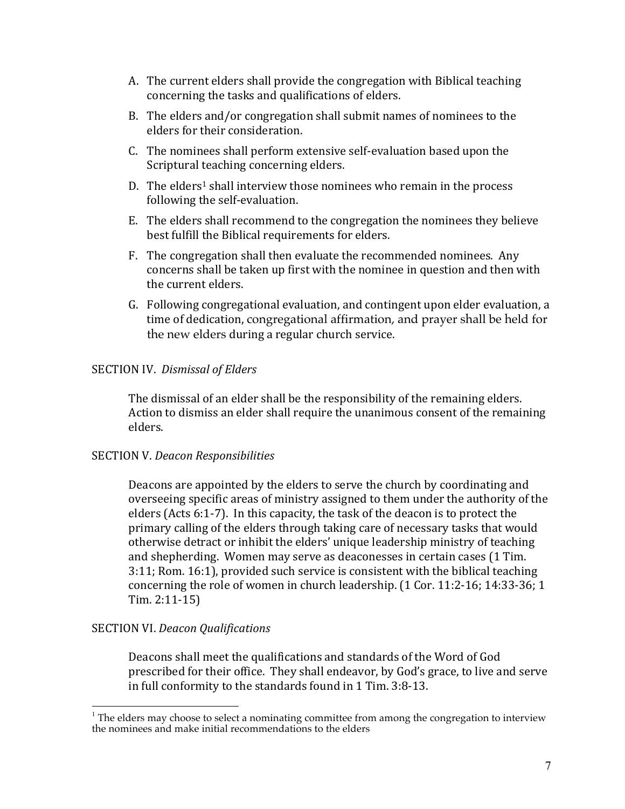- A. The current elders shall provide the congregation with Biblical teaching concerning the tasks and qualifications of elders.
- B. The elders and/or congregation shall submit names of nominees to the elders for their consideration.
- C. The nominees shall perform extensive self-evaluation based upon the Scriptural teaching concerning elders.
- D. The elders<sup>1</sup> shall interview those nominees who remain in the process following the self-evaluation.
- E. The elders shall recommend to the congregation the nominees they believe best fulfill the Biblical requirements for elders.
- F. The congregation shall then evaluate the recommended nominees. Any concerns shall be taken up first with the nominee in question and then with the current elders.
- G. Following congregational evaluation, and contingent upon elder evaluation, a time of dedication, congregational affirmation, and prayer shall be held for the new elders during a regular church service.

#### SECTION IV. Dismissal of Elders

The dismissal of an elder shall be the responsibility of the remaining elders. Action to dismiss an elder shall require the unanimous consent of the remaining elders.

#### SECTION V. *Deacon Responsibilities*

Deacons are appointed by the elders to serve the church by coordinating and overseeing specific areas of ministry assigned to them under the authority of the elders (Acts  $6:1-7$ ). In this capacity, the task of the deacon is to protect the primary calling of the elders through taking care of necessary tasks that would otherwise detract or inhibit the elders' unique leadership ministry of teaching and shepherding. Women may serve as deaconesses in certain cases (1 Tim. 3:11; Rom. 16:1), provided such service is consistent with the biblical teaching concerning the role of women in church leadership.  $(1$  Cor.  $11:2-16$ ;  $14:33-36$ ;  $1$ Tim. 2:11-15)

#### SECTION VI. *Deacon Qualifications*

Deacons shall meet the qualifications and standards of the Word of God prescribed for their office. They shall endeavor, by God's grace, to live and serve in full conformity to the standards found in 1 Tim. 3:8-13.

 $\frac{1}{1}$  $1$  The elders may choose to select a nominating committee from among the congregation to interview the nominees and make initial recommendations to the elders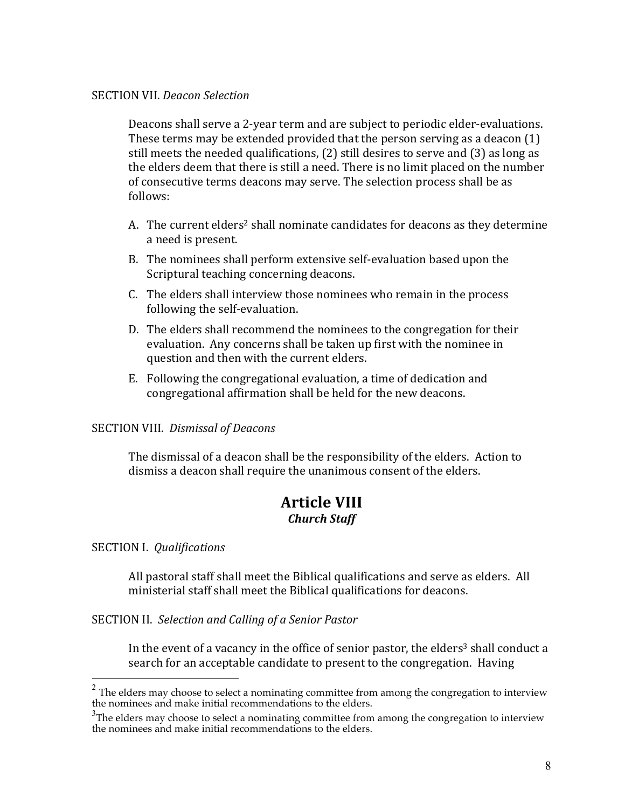#### SECTION VII. *Deacon Selection*

Deacons shall serve a 2-year term and are subject to periodic elder-evaluations. These terms may be extended provided that the person serving as a deacon  $(1)$ still meets the needed qualifications,  $(2)$  still desires to serve and  $(3)$  as long as the elders deem that there is still a need. There is no limit placed on the number of consecutive terms deacons may serve. The selection process shall be as follows:

- A. The current elders<sup>2</sup> shall nominate candidates for deacons as they determine a need is present.
- B. The nominees shall perform extensive self-evaluation based upon the Scriptural teaching concerning deacons.
- C. The elders shall interview those nominees who remain in the process following the self-evaluation.
- D. The elders shall recommend the nominees to the congregation for their evaluation. Any concerns shall be taken up first with the nominee in question and then with the current elders.
- E. Following the congregational evaluation, a time of dedication and congregational affirmation shall be held for the new deacons.

#### SECTION VIII. Dismissal of Deacons

The dismissal of a deacon shall be the responsibility of the elders. Action to dismiss a deacon shall require the unanimous consent of the elders.

### **Article VIII** *Church Staff*

#### SECTION I. *Qualifications*

All pastoral staff shall meet the Biblical qualifications and serve as elders. All ministerial staff shall meet the Biblical qualifications for deacons.

SECTION II. Selection and Calling of a Senior Pastor

In the event of a vacancy in the office of senior pastor, the elders<sup>3</sup> shall conduct a search for an acceptable candidate to present to the congregation. Having

 $2$  The elders may choose to select a nominating committee from among the congregation to interview the nominees and make initial recommendations to the elders.

 $3$ The elders may choose to select a nominating committee from among the congregation to interview the nominees and make initial recommendations to the elders.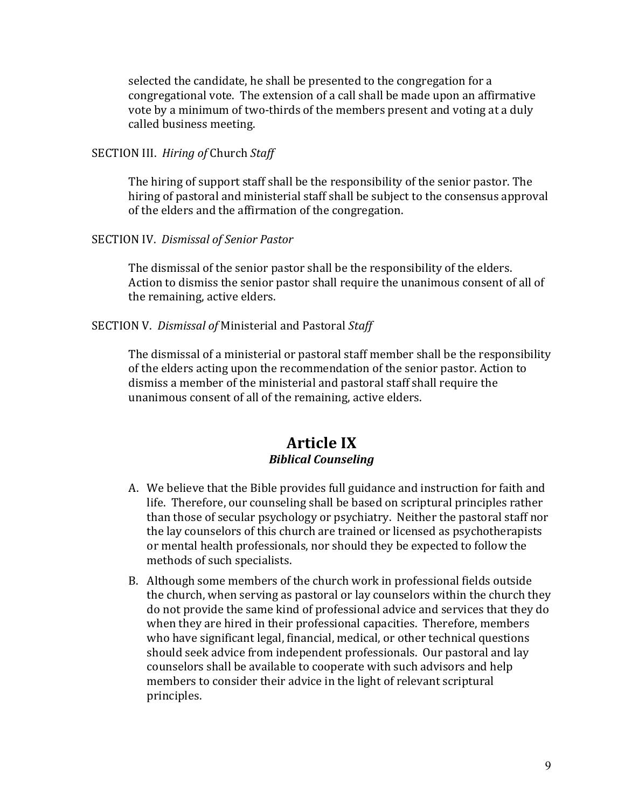selected the candidate, he shall be presented to the congregation for a congregational vote. The extension of a call shall be made upon an affirmative vote by a minimum of two-thirds of the members present and voting at a duly called business meeting.

SECTION III. *Hiring of* Church *Staff* 

The hiring of support staff shall be the responsibility of the senior pastor. The hiring of pastoral and ministerial staff shall be subject to the consensus approval of the elders and the affirmation of the congregation.

#### SECTION IV. Dismissal of Senior Pastor

The dismissal of the senior pastor shall be the responsibility of the elders. Action to dismiss the senior pastor shall require the unanimous consent of all of the remaining, active elders.

#### SECTION V. Dismissal of Ministerial and Pastoral Staff

The dismissal of a ministerial or pastoral staff member shall be the responsibility of the elders acting upon the recommendation of the senior pastor. Action to dismiss a member of the ministerial and pastoral staff shall require the unanimous consent of all of the remaining, active elders.

### **Article IX** *Biblical Counseling*

- A. We believe that the Bible provides full guidance and instruction for faith and life. Therefore, our counseling shall be based on scriptural principles rather than those of secular psychology or psychiatry. Neither the pastoral staff nor the lay counselors of this church are trained or licensed as psychotherapists or mental health professionals, nor should they be expected to follow the methods of such specialists.
- B. Although some members of the church work in professional fields outside the church, when serving as pastoral or lay counselors within the church they do not provide the same kind of professional advice and services that they do when they are hired in their professional capacities. Therefore, members who have significant legal, financial, medical, or other technical questions should seek advice from independent professionals. Our pastoral and lay counselors shall be available to cooperate with such advisors and help members to consider their advice in the light of relevant scriptural principles.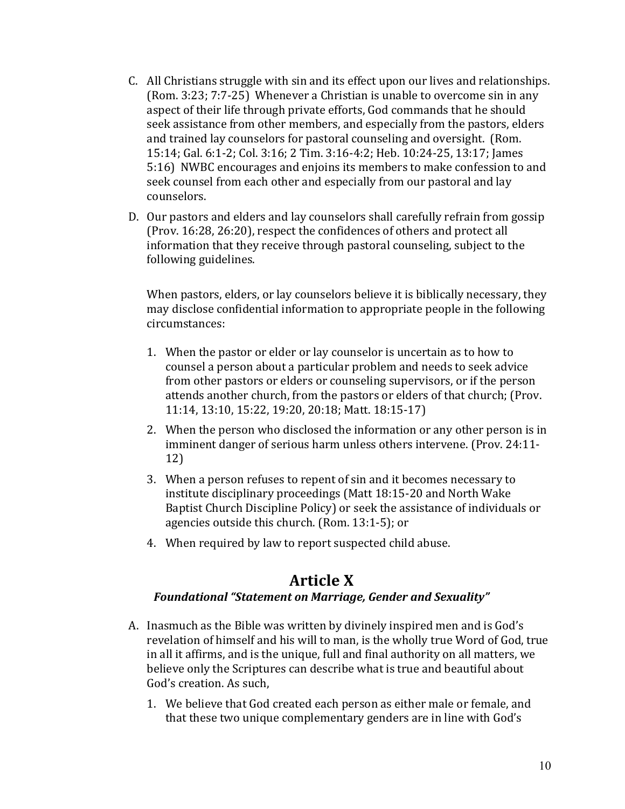- C. All Christians struggle with sin and its effect upon our lives and relationships. (Rom. 3:23; 7:7-25) Whenever a Christian is unable to overcome sin in any aspect of their life through private efforts, God commands that he should seek assistance from other members, and especially from the pastors, elders and trained lay counselors for pastoral counseling and oversight. (Rom. 15:14; Gal. 6:1-2; Col. 3:16; 2 Tim. 3:16-4:2; Heb. 10:24-25, 13:17; lames 5:16) NWBC encourages and enjoins its members to make confession to and seek counsel from each other and especially from our pastoral and lay counselors.
- D. Our pastors and elders and lay counselors shall carefully refrain from gossip (Prov. 16:28, 26:20), respect the confidences of others and protect all information that they receive through pastoral counseling, subject to the following guidelines.

When pastors, elders, or lay counselors believe it is biblically necessary, they may disclose confidential information to appropriate people in the following circumstances:

- 1. When the pastor or elder or lay counselor is uncertain as to how to counsel a person about a particular problem and needs to seek advice from other pastors or elders or counseling supervisors, or if the person attends another church, from the pastors or elders of that church; (Prov. 11:14, 13:10, 15:22, 19:20, 20:18; Matt. 18:15-17)
- 2. When the person who disclosed the information or any other person is in imminent danger of serious harm unless others intervene. (Prov. 24:11-12)
- 3. When a person refuses to repent of sin and it becomes necessary to institute disciplinary proceedings (Matt 18:15-20 and North Wake Baptist Church Discipline Policy) or seek the assistance of individuals or agencies outside this church. (Rom.  $13:1-5$ ); or
- 4. When required by law to report suspected child abuse.

# **Article X**

#### **Foundational "Statement on Marriage, Gender and Sexuality"**

- A. Inasmuch as the Bible was written by divinely inspired men and is God's revelation of himself and his will to man, is the wholly true Word of God, true in all it affirms, and is the unique, full and final authority on all matters, we believe only the Scriptures can describe what is true and beautiful about God's creation. As such,
	- 1. We believe that God created each person as either male or female, and that these two unique complementary genders are in line with God's